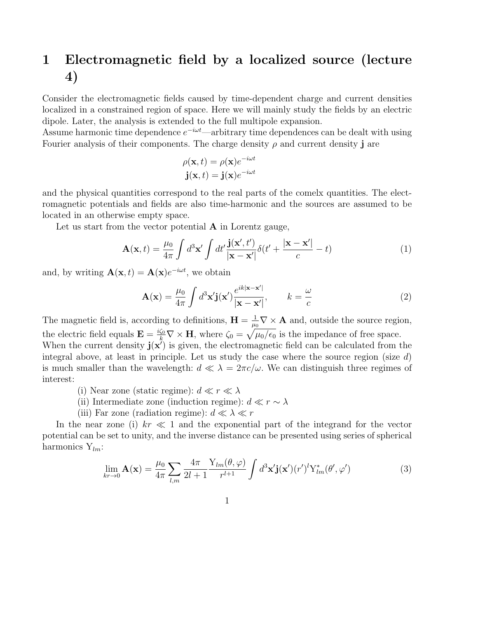## 1 Electromagnetic field by a localized source (lecture 4)

Consider the electromagnetic fields caused by time-dependent charge and current densities localized in a constrained region of space. Here we will mainly study the fields by an electric dipole. Later, the analysis is extended to the full multipole expansion.

Assume harmonic time dependence  $e^{-i\omega t}$ —arbitrary time dependences can be dealt with using Fourier analysis of their components. The charge density  $\rho$  and current density j are

$$
\rho(\mathbf{x}, t) = \rho(\mathbf{x})e^{-i\omega t}
$$

$$
\mathbf{j}(\mathbf{x}, t) = \mathbf{j}(\mathbf{x})e^{-i\omega t}
$$

and the physical quantities correspond to the real parts of the comelx quantities. The electromagnetic potentials and fields are also time-harmonic and the sources are assumed to be located in an otherwise empty space.

Let us start from the vector potential  $A$  in Lorentz gauge,

$$
\mathbf{A}(\mathbf{x},t) = \frac{\mu_0}{4\pi} \int d^3 \mathbf{x}' \int dt' \frac{\mathbf{j}(\mathbf{x}',t')}{|\mathbf{x} - \mathbf{x}'|} \delta(t' + \frac{|\mathbf{x} - \mathbf{x}'|}{c} - t)
$$
(1)

and, by writing  $\mathbf{A}(\mathbf{x},t) = \mathbf{A}(\mathbf{x})e^{-i\omega t}$ , we obtain

$$
\mathbf{A}(\mathbf{x}) = \frac{\mu_0}{4\pi} \int d^3 \mathbf{x'} \mathbf{j}(\mathbf{x'}) \frac{e^{ik|\mathbf{x} - \mathbf{x'}|}}{|\mathbf{x} - \mathbf{x'}|}, \qquad k = \frac{\omega}{c}
$$
 (2)

The magnetic field is, according to definitions,  $\mathbf{H} = \frac{1}{m}$  $\frac{1}{\mu_0} \nabla \times \mathbf{A}$  and, outside the source region, the electric field equals  $\mathbf{E} = \frac{i\zeta_0}{k} \nabla \times \mathbf{H}$ , where  $\zeta_0 = \sqrt{\mu_0/\epsilon_0}$  is the impedance of free space. When the current density  $\mathbf{j}(\mathbf{x}^{\prime})$  is given, the electromagnetic field can be calculated from the

integral above, at least in principle. Let us study the case where the source region (size  $d$ ) is much smaller than the wavelength:  $d \ll \lambda = 2\pi c/\omega$ . We can distinguish three regimes of interest:

- (i) Near zone (static regime):  $d \ll r \ll \lambda$
- (ii) Intermediate zone (induction regime):  $d \ll r \sim \lambda$
- (iii) Far zone (radiation regime):  $d \ll \lambda \ll r$

In the near zone (i)  $kr \ll 1$  and the exponential part of the integrand for the vector potential can be set to unity, and the inverse distance can be presented using series of spherical harmonics  $Y_{lm}$ :

$$
\lim_{kr \to 0} \mathbf{A}(\mathbf{x}) = \frac{\mu_0}{4\pi} \sum_{l,m} \frac{4\pi}{2l+1} \frac{\mathbf{Y}_{lm}(\theta, \varphi)}{r^{l+1}} \int d^3 \mathbf{x'} \mathbf{j}(\mathbf{x'}) (r')^l \mathbf{Y}_{lm}^*(\theta', \varphi')
$$
(3)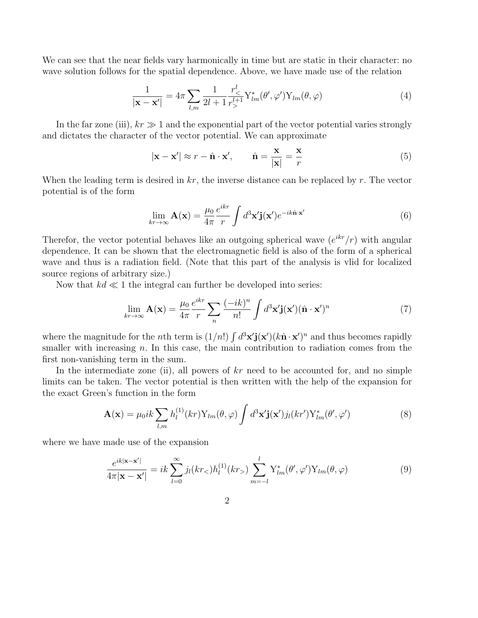We can see that the near fields vary harmonically in time but are static in their character: no wave solution follows for the spatial dependence. Above, we have made use of the relation

$$
\frac{1}{|\mathbf{x} - \mathbf{x}'|} = 4\pi \sum_{l,m} \frac{1}{2l+1} \frac{r_<^l}{r_>^{l+1}} Y_{lm}^*(\theta', \varphi') Y_{lm}(\theta, \varphi)
$$
(4)

In the far zone (iii),  $kr \gg 1$  and the exponential part of the vector potential varies strongly and dictates the character of the vector potential. We can approximate

$$
|\mathbf{x} - \mathbf{x}'| \approx r - \hat{\mathbf{n}} \cdot \mathbf{x}', \qquad \hat{\mathbf{n}} = \frac{\mathbf{x}}{|\mathbf{x}|} = \frac{\mathbf{x}}{r}
$$
 (5)

When the leading term is desired in  $kr$ , the inverse distance can be replaced by r. The vector potential is of the form

$$
\lim_{kr \to \infty} \mathbf{A}(\mathbf{x}) = \frac{\mu_0}{4\pi} \frac{e^{ikr}}{r} \int d^3 \mathbf{x'} \mathbf{j}(\mathbf{x'}) e^{-ik\hat{\mathbf{n}} \cdot \mathbf{x'}}
$$
(6)

Therefor, the vector potential behaves like an outgoing spherical wave  $(e^{ikr}/r)$  with angular dependence. It can be shown that the electromagnetic field is also of the form of a spherical wave and thus is a radiation field. (Note that this part of the analysis is vlid for localized source regions of arbitrary size.)

Now that  $kd \ll 1$  the integral can further be developed into series:

$$
\lim_{kr \to \infty} \mathbf{A}(\mathbf{x}) = \frac{\mu_0}{4\pi} \frac{e^{ikr}}{r} \sum_n \frac{(-ik)^n}{n!} \int d^3 \mathbf{x'} \mathbf{j}(\mathbf{x'})(\hat{\mathbf{n}} \cdot \mathbf{x'})^n \tag{7}
$$

where the magnitude for the *n*th term is  $(1/n!) \int d^3x' \mathbf{j}(\mathbf{x}') (k \hat{\mathbf{n}} \cdot \mathbf{x}')^n$  and thus becomes rapidly smaller with increasing  $n$ . In this case, the main contribution to radiation comes from the first non-vanishing term in the sum.

In the intermediate zone (ii), all powers of  $kr$  need to be accounted for, and no simple limits can be taken. The vector potential is then written with the help of the expansion for the exact Green's function in the form

$$
\mathbf{A}(\mathbf{x}) = \mu_0 i k \sum_{l,m} h_l^{(1)}(kr) Y_{lm}(\theta, \varphi) \int d^3 \mathbf{x'} \mathbf{j}(\mathbf{x'}) j_l(kr') Y_{lm}^*(\theta', \varphi')
$$
(8)

where we have made use of the expansion

$$
\frac{e^{ik|\mathbf{x}-\mathbf{x}'|}}{4\pi|\mathbf{x}-\mathbf{x}'|} = ik \sum_{l=0}^{\infty} j_l(kr_<)h_l^{(1)}(kr_>) \sum_{m=-l}^{l} Y_{lm}^*(\theta', \varphi') Y_{lm}(\theta, \varphi)
$$
(9)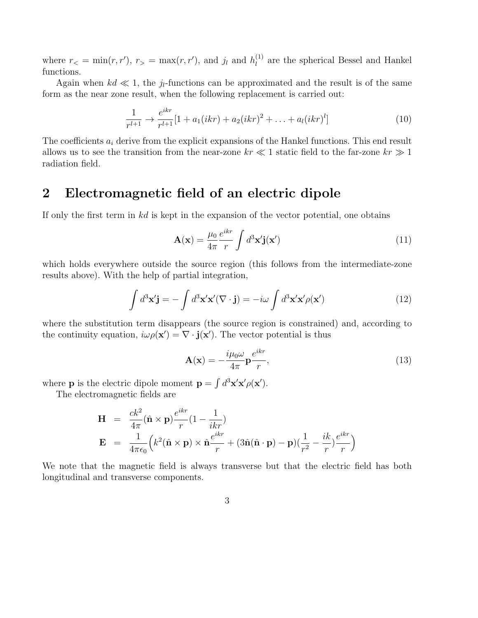where  $r<sub>lt</sub> = min(r, r'), r<sub>gt</sub> = max(r, r'),$  and j<sub>l</sub> and  $h_l^{(1)}$  $\binom{1}{l}$  are the spherical Bessel and Hankel functions.

Again when  $kd \ll 1$ , the j<sub>l</sub>-functions can be approximated and the result is of the same form as the near zone result, when the following replacement is carried out:

$$
\frac{1}{r^{l+1}} \to \frac{e^{ikr}}{r^{l+1}} [1 + a_1(ikr) + a_2(ikr)^2 + \ldots + a_l(ikr)^l]
$$
(10)

The coefficients  $a_i$  derive from the explicit expansions of the Hankel functions. This end result allows us to see the transition from the near-zone  $kr \ll 1$  static field to the far-zone  $kr \gg 1$ radiation field.

## 2 Electromagnetic field of an electric dipole

If only the first term in kd is kept in the expansion of the vector potential, one obtains

$$
\mathbf{A}(\mathbf{x}) = \frac{\mu_0}{4\pi} \frac{e^{ikr}}{r} \int d^3 \mathbf{x'} \mathbf{j}(\mathbf{x'}) \tag{11}
$$

which holds everywhere outside the source region (this follows from the intermediate-zone results above). With the help of partial integration,

$$
\int d^3 \mathbf{x}' \mathbf{j} = -\int d^3 \mathbf{x}' \mathbf{x}' (\nabla \cdot \mathbf{j}) = -i\omega \int d^3 \mathbf{x}' \mathbf{x}' \rho(\mathbf{x}') \tag{12}
$$

where the substitution term disappears (the source region is constrained) and, according to the continuity equation,  $i\omega \rho(\mathbf{x}') = \nabla \cdot \mathbf{j}(\mathbf{x}')$ . The vector potential is thus

$$
\mathbf{A}(\mathbf{x}) = -\frac{i\mu_0 \omega}{4\pi} \mathbf{p} \frac{e^{ikr}}{r},\tag{13}
$$

where **p** is the electric dipole moment  $\mathbf{p} = \int d^3\mathbf{x}'\mathbf{x}' \rho(\mathbf{x}')$ .

The electromagnetic fields are

$$
\mathbf{H} = \frac{ck^2}{4\pi} (\hat{\mathbf{n}} \times \mathbf{p}) \frac{e^{ikr}}{r} (1 - \frac{1}{ikr})
$$
\n
$$
\mathbf{E} = \frac{1}{4\pi\epsilon_0} \left( k^2 (\hat{\mathbf{n}} \times \mathbf{p}) \times \hat{\mathbf{n}} \frac{e^{ikr}}{r} + (3\hat{\mathbf{n}} (\hat{\mathbf{n}} \cdot \mathbf{p}) - \mathbf{p}) (\frac{1}{r^2} - \frac{ik}{r}) \frac{e^{ikr}}{r} \right)
$$

We note that the magnetic field is always transverse but that the electric field has both longitudinal and transverse components.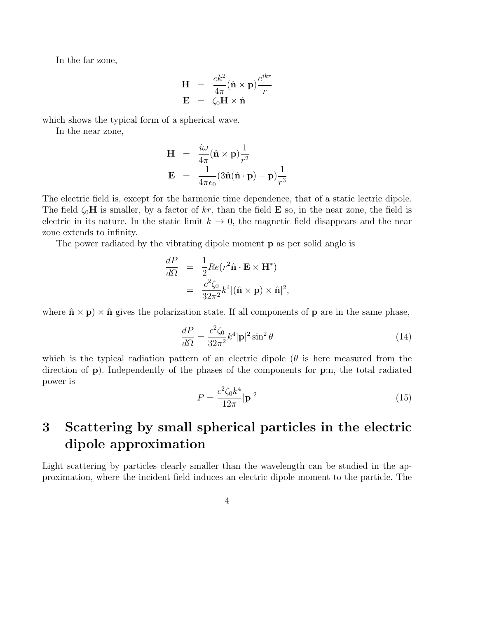In the far zone,

$$
\mathbf{H} = \frac{ck^2}{4\pi} (\hat{\mathbf{n}} \times \mathbf{p}) \frac{e^{ikr}}{r}
$$

$$
\mathbf{E} = \zeta_0 \mathbf{H} \times \hat{\mathbf{n}}
$$

which shows the typical form of a spherical wave.

In the near zone,

$$
\mathbf{H} = \frac{i\omega}{4\pi} (\hat{\mathbf{n}} \times \mathbf{p}) \frac{1}{r^2}
$$

$$
\mathbf{E} = \frac{1}{4\pi\epsilon_0} (3\hat{\mathbf{n}} (\hat{\mathbf{n}} \cdot \mathbf{p}) - \mathbf{p}) \frac{1}{r^3}
$$

The electric field is, except for the harmonic time dependence, that of a static lectric dipole. The field  $\zeta_0$ **H** is smaller, by a factor of kr, than the field **E** so, in the near zone, the field is electric in its nature. In the static limit  $k \to 0$ , the magnetic field disappears and the near zone extends to infinity.

The power radiated by the vibrating dipole moment p as per solid angle is

$$
\frac{dP}{d\Omega} = \frac{1}{2}Re(r^2 \hat{\mathbf{n}} \cdot \mathbf{E} \times \mathbf{H}^*)
$$

$$
= \frac{c^2 \zeta_0}{32\pi^2} k^4 |(\hat{\mathbf{n}} \times \mathbf{p}) \times \hat{\mathbf{n}}|^2,
$$

where  $\hat{\mathbf{n}} \times \mathbf{p}$   $\times \hat{\mathbf{n}}$  gives the polarization state. If all components of **p** are in the same phase,

$$
\frac{dP}{d\Omega} = \frac{c^2 \zeta_0}{32\pi^2} k^4 |\mathbf{p}|^2 \sin^2 \theta \tag{14}
$$

which is the typical radiation pattern of an electric dipole  $(\theta$  is here measured from the direction of p). Independently of the phases of the components for p:n, the total radiated power is

$$
P = \frac{c^2 \zeta_0 k^4}{12\pi} |\mathbf{p}|^2
$$
 (15)

## 3 Scattering by small spherical particles in the electric dipole approximation

Light scattering by particles clearly smaller than the wavelength can be studied in the approximation, where the incident field induces an electric dipole moment to the particle. The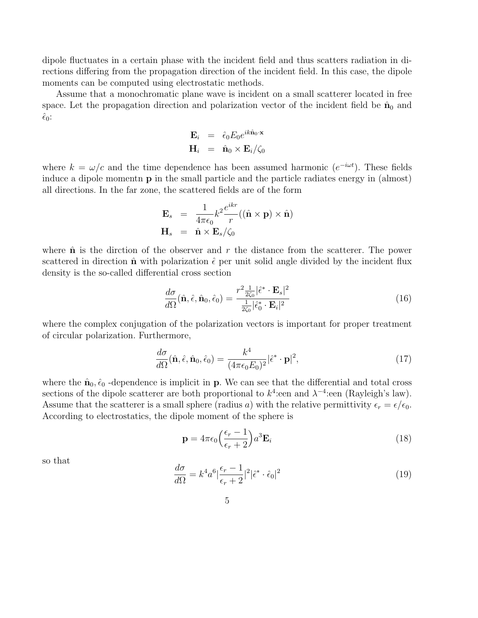dipole fluctuates in a certain phase with the incident field and thus scatters radiation in directions differing from the propagation direction of the incident field. In this case, the dipole moments can be computed using electrostatic methods.

Assume that a monochromatic plane wave is incident on a small scatterer located in free space. Let the propagation direction and polarization vector of the incident field be  $\hat{\mathbf{n}}_0$  and  $\hat{\epsilon}_0$ :

$$
\mathbf{E}_i = \hat{\epsilon}_0 E_0 e^{ik\hat{\mathbf{n}}_0 \cdot \mathbf{x}} \n\mathbf{H}_i = \hat{\mathbf{n}}_0 \times \mathbf{E}_i / \zeta_0
$$

where  $k = \omega/c$  and the time dependence has been assumed harmonic  $(e^{-i\omega t})$ . These fields induce a dipole momentn p in the small particle and the particle radiates energy in (almost) all directions. In the far zone, the scattered fields are of the form

$$
\mathbf{E}_s = \frac{1}{4\pi\epsilon_0} k^2 \frac{e^{ikr}}{r} ((\hat{\mathbf{n}} \times \mathbf{p}) \times \hat{\mathbf{n}})
$$
  

$$
\mathbf{H}_s = \hat{\mathbf{n}} \times \mathbf{E}_s / \zeta_0
$$

where  $\hat{\bf{n}}$  is the dirction of the observer and r the distance from the scatterer. The power scattered in direction  $\hat{\bf n}$  with polarization  $\hat{\epsilon}$  per unit solid angle divided by the incident flux density is the so-called differential cross section

$$
\frac{d\sigma}{d\Omega}(\hat{\mathbf{n}}, \hat{\epsilon}, \hat{\mathbf{n}}_0, \hat{\epsilon}_0) = \frac{r^2 \frac{1}{2\zeta_0} |\hat{\epsilon}^* \cdot \mathbf{E}_s|^2}{\frac{1}{2\zeta_0} |\hat{\epsilon}_0^* \cdot \mathbf{E}_i|^2}
$$
(16)

where the complex conjugation of the polarization vectors is important for proper treatment of circular polarization. Furthermore,

$$
\frac{d\sigma}{d\Omega}(\hat{\mathbf{n}}, \hat{\epsilon}, \hat{\mathbf{n}}_0, \hat{\epsilon}_0) = \frac{k^4}{(4\pi\epsilon_0 E_0)^2} |\hat{\epsilon}^* \cdot \mathbf{p}|^2, \tag{17}
$$

where the  $\hat{\mathbf{n}}_0$ ,  $\hat{\epsilon}_0$  -dependence is implicit in **p**. We can see that the differential and total cross sections of the dipole scatterer are both proportional to  $k^4$ :een and  $\lambda^{-4}$ :een (Rayleigh's law). Assume that the scatterer is a small sphere (radius a) with the relative permittivity  $\epsilon_r = \epsilon/\epsilon_0$ . According to electrostatics, the dipole moment of the sphere is

$$
\mathbf{p} = 4\pi\epsilon_0 \left(\frac{\epsilon_r - 1}{\epsilon_r + 2}\right) a^3 \mathbf{E}_i
$$
\n(18)

so that

$$
\frac{d\sigma}{d\Omega} = k^4 a^6 \left| \frac{\epsilon_r - 1}{\epsilon_r + 2} \right|^2 \left| \hat{\epsilon}^* \cdot \hat{\epsilon}_0 \right|^2 \tag{19}
$$